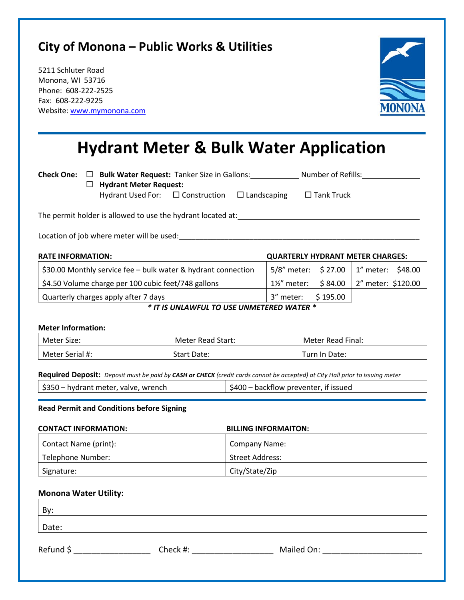## **City of Monona – Public Works & Utilities**

5211 Schluter Road Monona, WI 53716 Phone: 608-222-2525 Fax: 608-222-9225 Website: [www.mymonona.com](http://www.mymonona.com/)



# **Hydrant Meter & Bulk Water Application**

**Check One: Check One: Check One:** Number of Refills: Number of Refills: Number of Refills: Number of Refills: Number of Refills: Number of Refills: Number of Refills: Number of Refills: Number of Refills: Number of R **Hydrant Meter Request:** Hydrant Used For: □ Construction □ Landscaping □ Tank Truck

The permit holder is allowed to use the hydrant located at: \_\_\_\_\_\_\_\_\_\_\_\_\_\_\_\_\_\_\_\_\_

Location of job where meter will be used:\_\_\_\_\_\_\_\_\_\_\_\_\_\_\_\_\_\_\_\_\_\_\_\_\_\_\_\_\_\_\_\_\_\_\_\_\_\_\_\_\_\_\_\_\_\_\_\_\_\_\_\_\_\_\_\_\_\_

| <b>RATE INFORMATION:</b>                                      |                    | <b>QUARTERLY HYDRANT METER CHARGES:</b>              |
|---------------------------------------------------------------|--------------------|------------------------------------------------------|
| \$30.00 Monthly service fee - bulk water & hydrant connection |                    | 5/8" meter: \$27.00   1" meter: \$48.00              |
| \$4.50 Volume charge per 100 cubic feet/748 gallons           |                    | $1\frac{1}{2}$ " meter: \$84.00   2" meter: \$120.00 |
| Quarterly charges apply after 7 days                          | 3" meter: \$195.00 |                                                      |

*\* IT IS UNLAWFUL TO USE UNMETERED WATER \**

#### **Meter Information:**

| l Meter Size:     | Meter Read Start: | Meter Read Final: |
|-------------------|-------------------|-------------------|
| l Meter Serial #: | Start Date:       | Turn In Date:     |

**Required Deposit:** *Deposit must be paid by CASH or CHECK (credit cards cannot be accepted) at City Hall prior to issuing meter*

| \$350 – hydrant meter, valve, wrench | \$400 – backflow preventer, if issued |
|--------------------------------------|---------------------------------------|
|--------------------------------------|---------------------------------------|

#### **Read Permit and Conditions before Signing**

| <b>CONTACT INFORMATION:</b> | <b>BILLING INFORMAITON:</b> |
|-----------------------------|-----------------------------|
| Contact Name (print):       | <b>Company Name:</b>        |
| Telephone Number:           | Street Address:             |
| Signature:                  | City/State/Zip              |

#### **Monona Water Utility:**

| By:       |          |            |
|-----------|----------|------------|
| Date:     |          |            |
| Refund \$ | Check #: | Mailed On: |